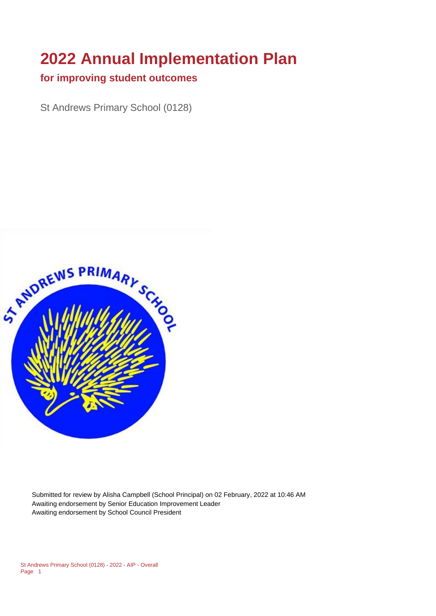# **2022 Annual Implementation Plan**

#### **for improving student outcomes**

St Andrews Primary School (0128)



Submitted for review by Alisha Campbell (School Principal) on 02 February, 2022 at 10:46 AM Awaiting endorsement by Senior Education Improvement Leader Awaiting endorsement by School Council President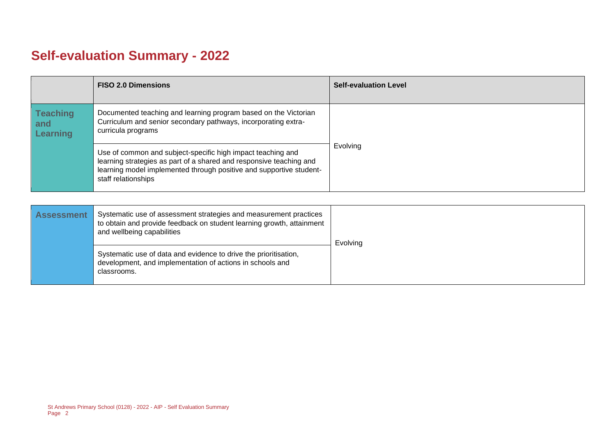# **Self-evaluation Summary - 2022**

|                                           | <b>FISO 2.0 Dimensions</b>                                                                                                                                                                                                       | <b>Self-evaluation Level</b> |
|-------------------------------------------|----------------------------------------------------------------------------------------------------------------------------------------------------------------------------------------------------------------------------------|------------------------------|
| <b>Teaching</b><br>and<br><b>Learning</b> | Documented teaching and learning program based on the Victorian<br>Curriculum and senior secondary pathways, incorporating extra-<br>curricula programs                                                                          |                              |
|                                           | Use of common and subject-specific high impact teaching and<br>learning strategies as part of a shared and responsive teaching and<br>learning model implemented through positive and supportive student-<br>staff relationships | Evolving                     |

| <b>Assessment</b> | Systematic use of assessment strategies and measurement practices<br>to obtain and provide feedback on student learning growth, attainment<br>and wellbeing capabilities | Evolving |
|-------------------|--------------------------------------------------------------------------------------------------------------------------------------------------------------------------|----------|
|                   | Systematic use of data and evidence to drive the prioritisation,<br>development, and implementation of actions in schools and<br>classrooms.                             |          |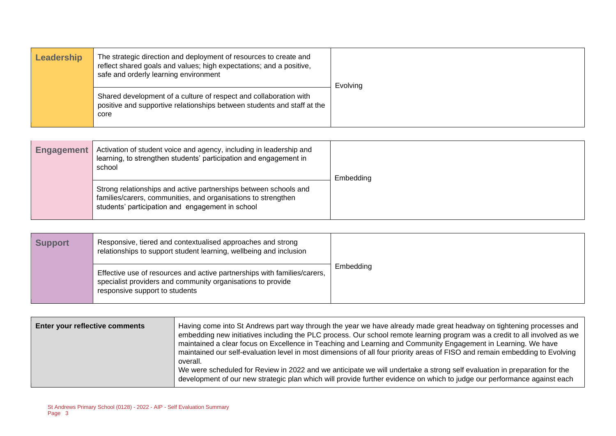| Leadership | The strategic direction and deployment of resources to create and<br>reflect shared goals and values; high expectations; and a positive,<br>safe and orderly learning environment | Evolving |
|------------|-----------------------------------------------------------------------------------------------------------------------------------------------------------------------------------|----------|
|            | Shared development of a culture of respect and collaboration with<br>positive and supportive relationships between students and staff at the<br>core                              |          |

| <b>Engagement</b> | Activation of student voice and agency, including in leadership and<br>learning, to strengthen students' participation and engagement in<br>school                                    | Embedding |
|-------------------|---------------------------------------------------------------------------------------------------------------------------------------------------------------------------------------|-----------|
|                   | Strong relationships and active partnerships between schools and<br>families/carers, communities, and organisations to strengthen<br>students' participation and engagement in school |           |

| <b>Support</b> | Responsive, tiered and contextualised approaches and strong<br>relationships to support student learning, wellbeing and inclusion                                         |           |
|----------------|---------------------------------------------------------------------------------------------------------------------------------------------------------------------------|-----------|
|                | Effective use of resources and active partnerships with families/carers,<br>specialist providers and community organisations to provide<br>responsive support to students | Embedding |

| <b>Enter your reflective comments</b> | Having come into St Andrews part way through the year we have already made great headway on tightening processes and<br>embedding new initiatives including the PLC process. Our school remote learning program was a credit to all involved as we<br>maintained a clear focus on Excellence in Teaching and Learning and Community Engagement in Learning. We have<br>maintained our self-evaluation level in most dimensions of all four priority areas of FISO and remain embedding to Evolving<br>overall.<br>We were scheduled for Review in 2022 and we anticipate we will undertake a strong self evaluation in preparation for the<br>development of our new strategic plan which will provide further evidence on which to judge our performance against each |
|---------------------------------------|------------------------------------------------------------------------------------------------------------------------------------------------------------------------------------------------------------------------------------------------------------------------------------------------------------------------------------------------------------------------------------------------------------------------------------------------------------------------------------------------------------------------------------------------------------------------------------------------------------------------------------------------------------------------------------------------------------------------------------------------------------------------|
|                                       |                                                                                                                                                                                                                                                                                                                                                                                                                                                                                                                                                                                                                                                                                                                                                                        |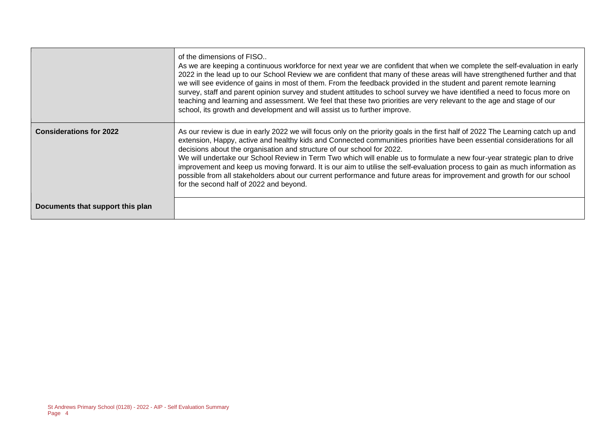|                                  | of the dimensions of FISO<br>As we are keeping a continuous workforce for next year we are confident that when we complete the self-evaluation in early<br>2022 in the lead up to our School Review we are confident that many of these areas will have strengthened further and that<br>we will see evidence of gains in most of them. From the feedback provided in the student and parent remote learning<br>survey, staff and parent opinion survey and student attitudes to school survey we have identified a need to focus more on<br>teaching and learning and assessment. We feel that these two priorities are very relevant to the age and stage of our<br>school, its growth and development and will assist us to further improve.                          |
|----------------------------------|--------------------------------------------------------------------------------------------------------------------------------------------------------------------------------------------------------------------------------------------------------------------------------------------------------------------------------------------------------------------------------------------------------------------------------------------------------------------------------------------------------------------------------------------------------------------------------------------------------------------------------------------------------------------------------------------------------------------------------------------------------------------------|
| <b>Considerations for 2022</b>   | As our review is due in early 2022 we will focus only on the priority goals in the first half of 2022 The Learning catch up and<br>extension, Happy, active and healthy kids and Connected communities priorities have been essential considerations for all<br>decisions about the organisation and structure of our school for 2022.<br>We will undertake our School Review in Term Two which will enable us to formulate a new four-year strategic plan to drive<br>improvement and keep us moving forward. It is our aim to utilise the self-evaluation process to gain as much information as<br>possible from all stakeholders about our current performance and future areas for improvement and growth for our school<br>for the second half of 2022 and beyond. |
| Documents that support this plan |                                                                                                                                                                                                                                                                                                                                                                                                                                                                                                                                                                                                                                                                                                                                                                          |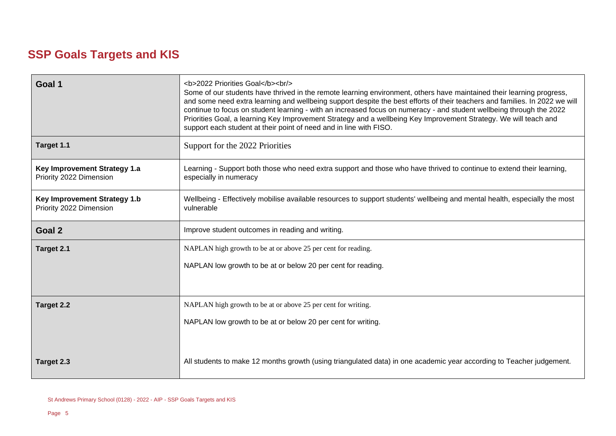## **SSP Goals Targets and KIS**

| Goal 1                                                         | <b>2022 Priorities Goal</b><br><br><br>Some of our students have thrived in the remote learning environment, others have maintained their learning progress,<br>and some need extra learning and wellbeing support despite the best efforts of their teachers and families. In 2022 we will<br>continue to focus on student learning - with an increased focus on numeracy - and student wellbeing through the 2022<br>Priorities Goal, a learning Key Improvement Strategy and a wellbeing Key Improvement Strategy. We will teach and<br>support each student at their point of need and in line with FISO. |  |  |
|----------------------------------------------------------------|---------------------------------------------------------------------------------------------------------------------------------------------------------------------------------------------------------------------------------------------------------------------------------------------------------------------------------------------------------------------------------------------------------------------------------------------------------------------------------------------------------------------------------------------------------------------------------------------------------------|--|--|
| Target 1.1                                                     | Support for the 2022 Priorities                                                                                                                                                                                                                                                                                                                                                                                                                                                                                                                                                                               |  |  |
| Key Improvement Strategy 1.a<br>Priority 2022 Dimension        | Learning - Support both those who need extra support and those who have thrived to continue to extend their learning,<br>especially in numeracy                                                                                                                                                                                                                                                                                                                                                                                                                                                               |  |  |
| <b>Key Improvement Strategy 1.b</b><br>Priority 2022 Dimension | Wellbeing - Effectively mobilise available resources to support students' wellbeing and mental health, especially the most<br>vulnerable                                                                                                                                                                                                                                                                                                                                                                                                                                                                      |  |  |
| Goal 2                                                         | Improve student outcomes in reading and writing.                                                                                                                                                                                                                                                                                                                                                                                                                                                                                                                                                              |  |  |
| Target 2.1                                                     | NAPLAN high growth to be at or above 25 per cent for reading.                                                                                                                                                                                                                                                                                                                                                                                                                                                                                                                                                 |  |  |
|                                                                | NAPLAN low growth to be at or below 20 per cent for reading.                                                                                                                                                                                                                                                                                                                                                                                                                                                                                                                                                  |  |  |
|                                                                |                                                                                                                                                                                                                                                                                                                                                                                                                                                                                                                                                                                                               |  |  |
| <b>Target 2.2</b>                                              | NAPLAN high growth to be at or above 25 per cent for writing.                                                                                                                                                                                                                                                                                                                                                                                                                                                                                                                                                 |  |  |
|                                                                | NAPLAN low growth to be at or below 20 per cent for writing.                                                                                                                                                                                                                                                                                                                                                                                                                                                                                                                                                  |  |  |
|                                                                |                                                                                                                                                                                                                                                                                                                                                                                                                                                                                                                                                                                                               |  |  |
| Target 2.3                                                     | All students to make 12 months growth (using triangulated data) in one academic year according to Teacher judgement.                                                                                                                                                                                                                                                                                                                                                                                                                                                                                          |  |  |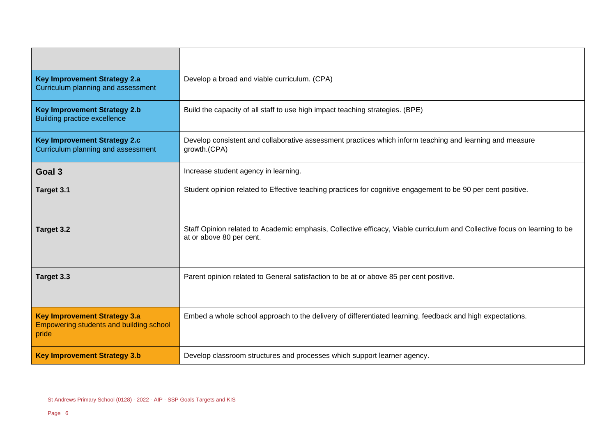| <b>Key Improvement Strategy 2.a</b><br>Curriculum planning and assessment                                                                                                                             | Develop a broad and viable curriculum. (CPA)                                                                                                          |
|-------------------------------------------------------------------------------------------------------------------------------------------------------------------------------------------------------|-------------------------------------------------------------------------------------------------------------------------------------------------------|
| <b>Key Improvement Strategy 2.b</b><br><b>Building practice excellence</b>                                                                                                                            | Build the capacity of all staff to use high impact teaching strategies. (BPE)                                                                         |
| <b>Key Improvement Strategy 2.c</b><br>Develop consistent and collaborative assessment practices which inform teaching and learning and measure<br>Curriculum planning and assessment<br>growth.(CPA) |                                                                                                                                                       |
| Goal 3                                                                                                                                                                                                | Increase student agency in learning.                                                                                                                  |
| Target 3.1                                                                                                                                                                                            | Student opinion related to Effective teaching practices for cognitive engagement to be 90 per cent positive.                                          |
| Target 3.2                                                                                                                                                                                            | Staff Opinion related to Academic emphasis, Collective efficacy, Viable curriculum and Collective focus on learning to be<br>at or above 80 per cent. |
| Target 3.3                                                                                                                                                                                            | Parent opinion related to General satisfaction to be at or above 85 per cent positive.                                                                |
| <b>Key Improvement Strategy 3.a</b><br><b>Empowering students and building school</b><br>pride                                                                                                        | Embed a whole school approach to the delivery of differentiated learning, feedback and high expectations.                                             |
| <b>Key Improvement Strategy 3.b</b>                                                                                                                                                                   | Develop classroom structures and processes which support learner agency.                                                                              |

 $\overline{a}$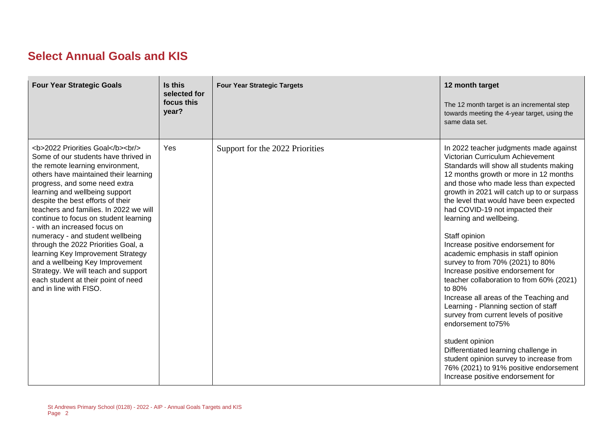## **Select Annual Goals and KIS**

| <b>Four Year Strategic Goals</b>                                                                                                                                                              | Is this<br>selected for<br>focus this<br>year? | <b>Four Year Strategic Targets</b> | 12 month target<br>The 12 month target is an incremental step<br>towards meeting the 4-year target, using the<br>same data set.                                                                                                                                                                                                                                                                                                                                                                                                                                                                                                                                                                                                                                                                                                                                                                                                 |
|-----------------------------------------------------------------------------------------------------------------------------------------------------------------------------------------------|------------------------------------------------|------------------------------------|---------------------------------------------------------------------------------------------------------------------------------------------------------------------------------------------------------------------------------------------------------------------------------------------------------------------------------------------------------------------------------------------------------------------------------------------------------------------------------------------------------------------------------------------------------------------------------------------------------------------------------------------------------------------------------------------------------------------------------------------------------------------------------------------------------------------------------------------------------------------------------------------------------------------------------|
| <b>2022 Priorities Goal</b><br><br><br>Some of our students have thrived in<br>the remote learning environment,<br>others have maintained their learning<br>progress, and some need extra<br> | Yes                                            | Support for the 2022 Priorities    | In 2022 teacher judgments made against<br>Victorian Curriculum Achievement<br>Standards will show all students making<br>12 months growth or more in 12 months<br>and those who made less than expected<br>growth in 2021 will catch up to or surpass<br>the level that would have been expected<br>had COVID-19 not impacted their<br>learning and wellbeing.<br>Staff opinion<br>Increase positive endorsement for<br>academic emphasis in staff opinion<br>survey to from 70% (2021) to 80%<br>Increase positive endorsement for<br>teacher collaboration to from 60% (2021)<br>to 80%<br>Increase all areas of the Teaching and<br>Learning - Planning section of staff<br>survey from current levels of positive<br>endorsement to75%<br>student opinion<br>Differentiated learning challenge in<br>student opinion survey to increase from<br>76% (2021) to 91% positive endorsement<br>Increase positive endorsement for |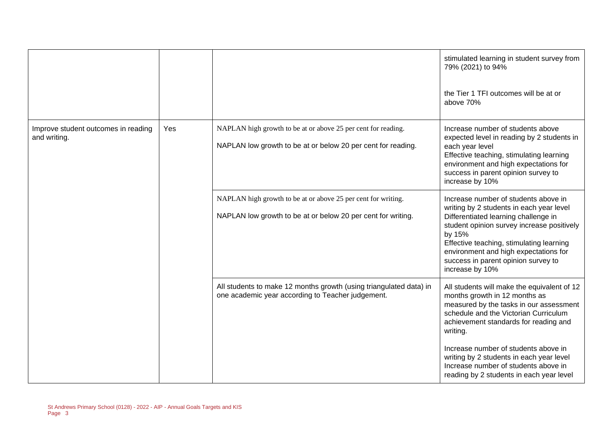|                                                     |     |                                                                                                                               | stimulated learning in student survey from<br>79% (2021) to 94%                                                                                                                                                                             |
|-----------------------------------------------------|-----|-------------------------------------------------------------------------------------------------------------------------------|---------------------------------------------------------------------------------------------------------------------------------------------------------------------------------------------------------------------------------------------|
|                                                     |     |                                                                                                                               | the Tier 1 TFI outcomes will be at or<br>above 70%                                                                                                                                                                                          |
| Improve student outcomes in reading<br>and writing. | Yes | NAPLAN high growth to be at or above 25 per cent for reading.<br>NAPLAN low growth to be at or below 20 per cent for reading. | Increase number of students above<br>expected level in reading by 2 students in<br>each year level                                                                                                                                          |
|                                                     |     |                                                                                                                               | Effective teaching, stimulating learning<br>environment and high expectations for<br>success in parent opinion survey to<br>increase by 10%                                                                                                 |
|                                                     |     | NAPLAN high growth to be at or above 25 per cent for writing.                                                                 | Increase number of students above in<br>writing by 2 students in each year level                                                                                                                                                            |
|                                                     |     | NAPLAN low growth to be at or below 20 per cent for writing.                                                                  | Differentiated learning challenge in<br>student opinion survey increase positively<br>by 15%<br>Effective teaching, stimulating learning<br>environment and high expectations for<br>success in parent opinion survey to<br>increase by 10% |
|                                                     |     | All students to make 12 months growth (using triangulated data) in<br>one academic year according to Teacher judgement.       | All students will make the equivalent of 12<br>months growth in 12 months as<br>measured by the tasks in our assessment<br>schedule and the Victorian Curriculum<br>achievement standards for reading and<br>writing.                       |
|                                                     |     |                                                                                                                               | Increase number of students above in<br>writing by 2 students in each year level<br>Increase number of students above in<br>reading by 2 students in each year level                                                                        |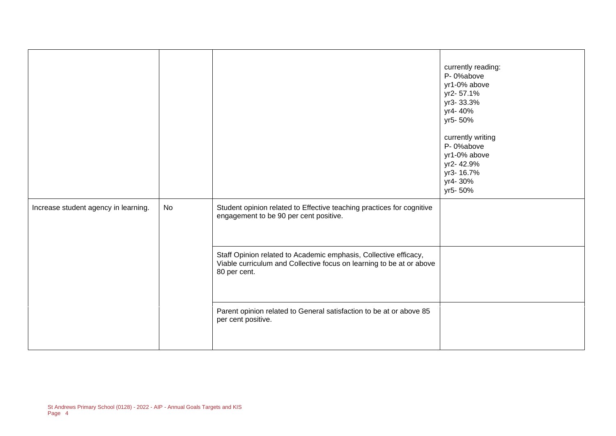|                                      |    |                                                                                                                                                          | currently reading:<br>P-0%above<br>yr1-0% above<br>yr2-57.1%<br>yr3-33.3%<br>yr4-40%<br>yr5-50%<br>currently writing<br>P-0%above<br>yr1-0% above<br>yr2-42.9%<br>yr3-16.7%<br>yr4-30%<br>yr5-50% |
|--------------------------------------|----|----------------------------------------------------------------------------------------------------------------------------------------------------------|---------------------------------------------------------------------------------------------------------------------------------------------------------------------------------------------------|
| Increase student agency in learning. | No | Student opinion related to Effective teaching practices for cognitive<br>engagement to be 90 per cent positive.                                          |                                                                                                                                                                                                   |
|                                      |    | Staff Opinion related to Academic emphasis, Collective efficacy,<br>Viable curriculum and Collective focus on learning to be at or above<br>80 per cent. |                                                                                                                                                                                                   |
|                                      |    | Parent opinion related to General satisfaction to be at or above 85<br>per cent positive.                                                                |                                                                                                                                                                                                   |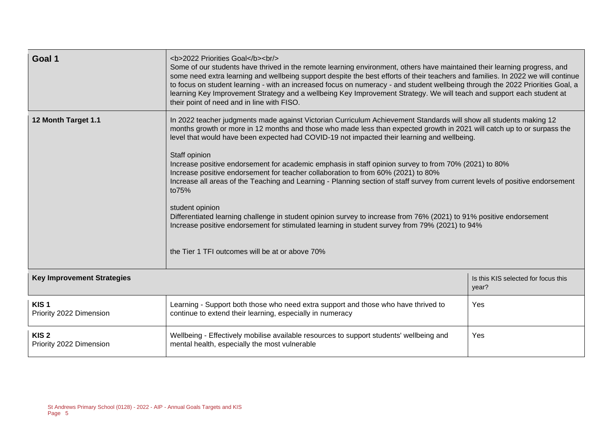| Goal 1                                      | <b>2022 Priorities Goal</b><br><br><br>Some of our students have thrived in the remote learning environment, others have maintained their learning progress, and<br>some need extra learning and wellbeing support despite the best efforts of their teachers and families. In 2022 we will continue<br>to focus on student learning - with an increased focus on numeracy - and student wellbeing through the 2022 Priorities Goal, a<br>learning Key Improvement Strategy and a wellbeing Key Improvement Strategy. We will teach and support each student at<br>their point of need and in line with FISO.                                                                                                                                                                                                                                                                                                                                                                                         |                                              |  |  |
|---------------------------------------------|-------------------------------------------------------------------------------------------------------------------------------------------------------------------------------------------------------------------------------------------------------------------------------------------------------------------------------------------------------------------------------------------------------------------------------------------------------------------------------------------------------------------------------------------------------------------------------------------------------------------------------------------------------------------------------------------------------------------------------------------------------------------------------------------------------------------------------------------------------------------------------------------------------------------------------------------------------------------------------------------------------|----------------------------------------------|--|--|
| 12 Month Target 1.1                         | In 2022 teacher judgments made against Victorian Curriculum Achievement Standards will show all students making 12<br>months growth or more in 12 months and those who made less than expected growth in 2021 will catch up to or surpass the<br>level that would have been expected had COVID-19 not impacted their learning and wellbeing.<br>Staff opinion<br>Increase positive endorsement for academic emphasis in staff opinion survey to from 70% (2021) to 80%<br>Increase positive endorsement for teacher collaboration to from 60% (2021) to 80%<br>Increase all areas of the Teaching and Learning - Planning section of staff survey from current levels of positive endorsement<br>to75%<br>student opinion<br>Differentiated learning challenge in student opinion survey to increase from 76% (2021) to 91% positive endorsement<br>Increase positive endorsement for stimulated learning in student survey from 79% (2021) to 94%<br>the Tier 1 TFI outcomes will be at or above 70% |                                              |  |  |
| <b>Key Improvement Strategies</b>           |                                                                                                                                                                                                                                                                                                                                                                                                                                                                                                                                                                                                                                                                                                                                                                                                                                                                                                                                                                                                       | Is this KIS selected for focus this<br>year? |  |  |
| KIS <sub>1</sub><br>Priority 2022 Dimension | Learning - Support both those who need extra support and those who have thrived to<br>continue to extend their learning, especially in numeracy                                                                                                                                                                                                                                                                                                                                                                                                                                                                                                                                                                                                                                                                                                                                                                                                                                                       | Yes                                          |  |  |
| KIS <sub>2</sub><br>Priority 2022 Dimension | Wellbeing - Effectively mobilise available resources to support students' wellbeing and<br>mental health, especially the most vulnerable                                                                                                                                                                                                                                                                                                                                                                                                                                                                                                                                                                                                                                                                                                                                                                                                                                                              | Yes                                          |  |  |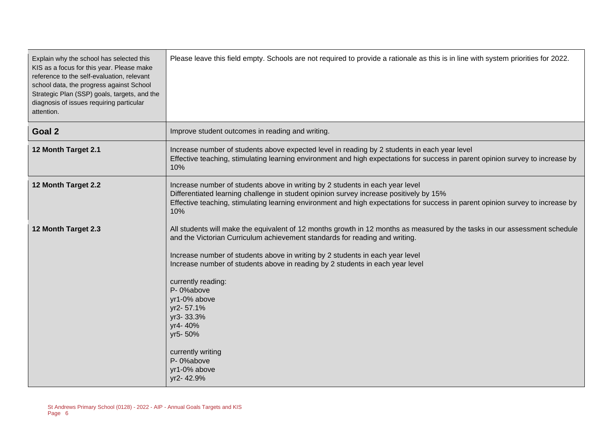| Explain why the school has selected this<br>KIS as a focus for this year. Please make<br>reference to the self-evaluation, relevant<br>school data, the progress against School<br>Strategic Plan (SSP) goals, targets, and the<br>diagnosis of issues requiring particular<br>attention. | Please leave this field empty. Schools are not required to provide a rationale as this is in line with system priorities for 2022.                                                                                                                                                                                                                                                                                                                                                                                                            |
|-------------------------------------------------------------------------------------------------------------------------------------------------------------------------------------------------------------------------------------------------------------------------------------------|-----------------------------------------------------------------------------------------------------------------------------------------------------------------------------------------------------------------------------------------------------------------------------------------------------------------------------------------------------------------------------------------------------------------------------------------------------------------------------------------------------------------------------------------------|
| Goal 2                                                                                                                                                                                                                                                                                    | Improve student outcomes in reading and writing.                                                                                                                                                                                                                                                                                                                                                                                                                                                                                              |
| 12 Month Target 2.1                                                                                                                                                                                                                                                                       | Increase number of students above expected level in reading by 2 students in each year level<br>Effective teaching, stimulating learning environment and high expectations for success in parent opinion survey to increase by<br>10%                                                                                                                                                                                                                                                                                                         |
| 12 Month Target 2.2                                                                                                                                                                                                                                                                       | Increase number of students above in writing by 2 students in each year level<br>Differentiated learning challenge in student opinion survey increase positively by 15%<br>Effective teaching, stimulating learning environment and high expectations for success in parent opinion survey to increase by<br>10%                                                                                                                                                                                                                              |
| 12 Month Target 2.3                                                                                                                                                                                                                                                                       | All students will make the equivalent of 12 months growth in 12 months as measured by the tasks in our assessment schedule<br>and the Victorian Curriculum achievement standards for reading and writing.<br>Increase number of students above in writing by 2 students in each year level<br>Increase number of students above in reading by 2 students in each year level<br>currently reading:<br>P-0%above<br>yr1-0% above<br>yr2-57.1%<br>yr3-33.3%<br>yr4-40%<br>yr5-50%<br>currently writing<br>P-0%above<br>yr1-0% above<br>yr2-42.9% |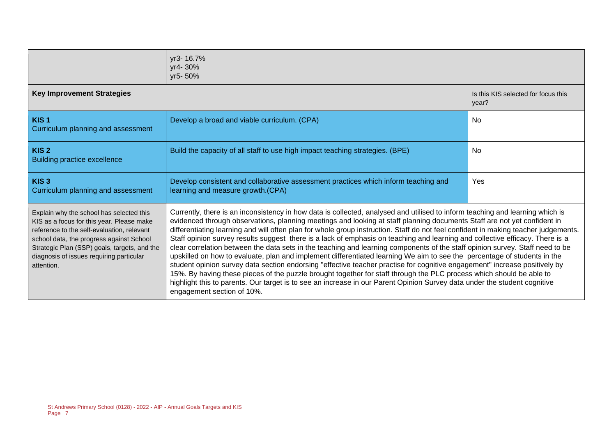|                                                                                                                                                                                                                                                                                           | yr3-16.7%<br>yr4-30%<br>yr5-50%                                                                                                                                                                                                                                                                                                                                                                                                                                                                                                                                                                                                                                                                                                                                                                                                                                                                                                                                                                                                                                                                                                                                                                                 |                                              |  |  |
|-------------------------------------------------------------------------------------------------------------------------------------------------------------------------------------------------------------------------------------------------------------------------------------------|-----------------------------------------------------------------------------------------------------------------------------------------------------------------------------------------------------------------------------------------------------------------------------------------------------------------------------------------------------------------------------------------------------------------------------------------------------------------------------------------------------------------------------------------------------------------------------------------------------------------------------------------------------------------------------------------------------------------------------------------------------------------------------------------------------------------------------------------------------------------------------------------------------------------------------------------------------------------------------------------------------------------------------------------------------------------------------------------------------------------------------------------------------------------------------------------------------------------|----------------------------------------------|--|--|
| <b>Key Improvement Strategies</b>                                                                                                                                                                                                                                                         |                                                                                                                                                                                                                                                                                                                                                                                                                                                                                                                                                                                                                                                                                                                                                                                                                                                                                                                                                                                                                                                                                                                                                                                                                 | Is this KIS selected for focus this<br>year? |  |  |
| KIS <sub>1</sub><br>Curriculum planning and assessment                                                                                                                                                                                                                                    | Develop a broad and viable curriculum. (CPA)                                                                                                                                                                                                                                                                                                                                                                                                                                                                                                                                                                                                                                                                                                                                                                                                                                                                                                                                                                                                                                                                                                                                                                    | No.                                          |  |  |
| KIS <sub>2</sub><br><b>Building practice excellence</b>                                                                                                                                                                                                                                   | Build the capacity of all staff to use high impact teaching strategies. (BPE)                                                                                                                                                                                                                                                                                                                                                                                                                                                                                                                                                                                                                                                                                                                                                                                                                                                                                                                                                                                                                                                                                                                                   | No                                           |  |  |
| KIS <sub>3</sub><br>Curriculum planning and assessment                                                                                                                                                                                                                                    | Develop consistent and collaborative assessment practices which inform teaching and<br>learning and measure growth.(CPA)                                                                                                                                                                                                                                                                                                                                                                                                                                                                                                                                                                                                                                                                                                                                                                                                                                                                                                                                                                                                                                                                                        | Yes                                          |  |  |
| Explain why the school has selected this<br>KIS as a focus for this year. Please make<br>reference to the self-evaluation, relevant<br>school data, the progress against School<br>Strategic Plan (SSP) goals, targets, and the<br>diagnosis of issues requiring particular<br>attention. | Currently, there is an inconsistency in how data is collected, analysed and utilised to inform teaching and learning which is<br>evidenced through observations, planning meetings and looking at staff planning documents Staff are not yet confident in<br>differentiating learning and will often plan for whole group instruction. Staff do not feel confident in making teacher judgements.<br>Staff opinion survey results suggest there is a lack of emphasis on teaching and learning and collective efficacy. There is a<br>clear correlation between the data sets in the teaching and learning components of the staff opinion survey. Staff need to be<br>upskilled on how to evaluate, plan and implement differentiated learning We aim to see the percentage of students in the<br>student opinion survey data section endorsing "effective teacher practise for cognitive engagement" increase positively by<br>15%. By having these pieces of the puzzle brought together for staff through the PLC process which should be able to<br>highlight this to parents. Our target is to see an increase in our Parent Opinion Survey data under the student cognitive<br>engagement section of 10%. |                                              |  |  |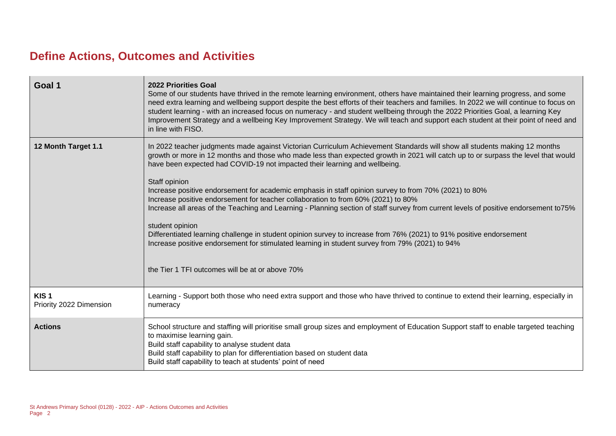## **Define Actions, Outcomes and Activities**

| Goal 1                                      | <b>2022 Priorities Goal</b><br>Some of our students have thrived in the remote learning environment, others have maintained their learning progress, and some<br>need extra learning and wellbeing support despite the best efforts of their teachers and families. In 2022 we will continue to focus on<br>student learning - with an increased focus on numeracy - and student wellbeing through the 2022 Priorities Goal, a learning Key<br>Improvement Strategy and a wellbeing Key Improvement Strategy. We will teach and support each student at their point of need and<br>in line with FISO.                                                                                                                                                                                                                                                                                                                                                                                              |
|---------------------------------------------|----------------------------------------------------------------------------------------------------------------------------------------------------------------------------------------------------------------------------------------------------------------------------------------------------------------------------------------------------------------------------------------------------------------------------------------------------------------------------------------------------------------------------------------------------------------------------------------------------------------------------------------------------------------------------------------------------------------------------------------------------------------------------------------------------------------------------------------------------------------------------------------------------------------------------------------------------------------------------------------------------|
| 12 Month Target 1.1                         | In 2022 teacher judgments made against Victorian Curriculum Achievement Standards will show all students making 12 months<br>growth or more in 12 months and those who made less than expected growth in 2021 will catch up to or surpass the level that would<br>have been expected had COVID-19 not impacted their learning and wellbeing.<br>Staff opinion<br>Increase positive endorsement for academic emphasis in staff opinion survey to from 70% (2021) to 80%<br>Increase positive endorsement for teacher collaboration to from 60% (2021) to 80%<br>Increase all areas of the Teaching and Learning - Planning section of staff survey from current levels of positive endorsement to75%<br>student opinion<br>Differentiated learning challenge in student opinion survey to increase from 76% (2021) to 91% positive endorsement<br>Increase positive endorsement for stimulated learning in student survey from 79% (2021) to 94%<br>the Tier 1 TFI outcomes will be at or above 70% |
| KIS <sub>1</sub><br>Priority 2022 Dimension | Learning - Support both those who need extra support and those who have thrived to continue to extend their learning, especially in<br>numeracy                                                                                                                                                                                                                                                                                                                                                                                                                                                                                                                                                                                                                                                                                                                                                                                                                                                    |
| <b>Actions</b>                              | School structure and staffing will prioritise small group sizes and employment of Education Support staff to enable targeted teaching<br>to maximise learning gain.<br>Build staff capability to analyse student data<br>Build staff capability to plan for differentiation based on student data<br>Build staff capability to teach at students' point of need                                                                                                                                                                                                                                                                                                                                                                                                                                                                                                                                                                                                                                    |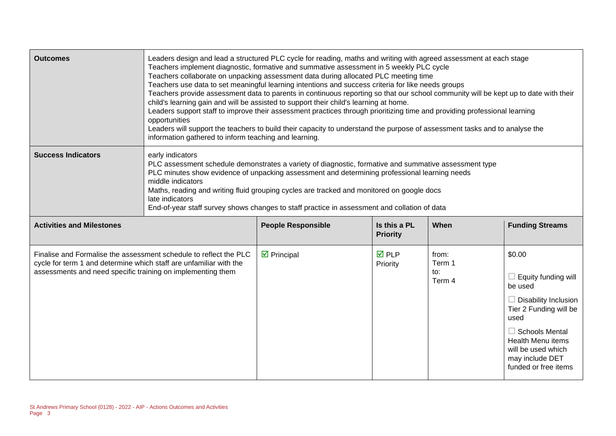| <b>Outcomes</b>                                                                                                                                                                                        | Leaders design and lead a structured PLC cycle for reading, maths and writing with agreed assessment at each stage<br>Teachers implement diagnostic, formative and summative assessment in 5 weekly PLC cycle<br>Teachers collaborate on unpacking assessment data during allocated PLC meeting time<br>Teachers use data to set meaningful learning intentions and success criteria for like needs groups<br>Teachers provide assessment data to parents in continuous reporting so that our school community will be kept up to date with their<br>child's learning gain and will be assisted to support their child's learning at home.<br>Leaders support staff to improve their assessment practices through prioritizing time and providing professional learning<br>opportunities<br>Leaders will support the teachers to build their capacity to understand the purpose of assessment tasks and to analyse the<br>information gathered to inform teaching and learning. |                            |                                 |                                  |                                                                                                                                                                                                                                 |
|--------------------------------------------------------------------------------------------------------------------------------------------------------------------------------------------------------|---------------------------------------------------------------------------------------------------------------------------------------------------------------------------------------------------------------------------------------------------------------------------------------------------------------------------------------------------------------------------------------------------------------------------------------------------------------------------------------------------------------------------------------------------------------------------------------------------------------------------------------------------------------------------------------------------------------------------------------------------------------------------------------------------------------------------------------------------------------------------------------------------------------------------------------------------------------------------------|----------------------------|---------------------------------|----------------------------------|---------------------------------------------------------------------------------------------------------------------------------------------------------------------------------------------------------------------------------|
| <b>Success Indicators</b>                                                                                                                                                                              | early indicators<br>PLC assessment schedule demonstrates a variety of diagnostic, formative and summative assessment type<br>PLC minutes show evidence of unpacking assessment and determining professional learning needs<br>middle indicators<br>Maths, reading and writing fluid grouping cycles are tracked and monitored on google docs<br>late indicators<br>End-of-year staff survey shows changes to staff practice in assessment and collation of data                                                                                                                                                                                                                                                                                                                                                                                                                                                                                                                 |                            |                                 |                                  |                                                                                                                                                                                                                                 |
| <b>Activities and Milestones</b>                                                                                                                                                                       |                                                                                                                                                                                                                                                                                                                                                                                                                                                                                                                                                                                                                                                                                                                                                                                                                                                                                                                                                                                 | <b>People Responsible</b>  | Is this a PL<br><b>Priority</b> | When                             | <b>Funding Streams</b>                                                                                                                                                                                                          |
| Finalise and Formalise the assessment schedule to reflect the PLC<br>cycle for term 1 and determine which staff are unfamiliar with the<br>assessments and need specific training on implementing them |                                                                                                                                                                                                                                                                                                                                                                                                                                                                                                                                                                                                                                                                                                                                                                                                                                                                                                                                                                                 | $\triangleright$ Principal | $\overline{M}$ PLP<br>Priority  | from:<br>Term 1<br>to:<br>Term 4 | \$0.00<br>Equity funding will<br>be used<br><b>Disability Inclusion</b><br>Tier 2 Funding will be<br>used<br>$\Box$ Schools Mental<br><b>Health Menu items</b><br>will be used which<br>may include DET<br>funded or free items |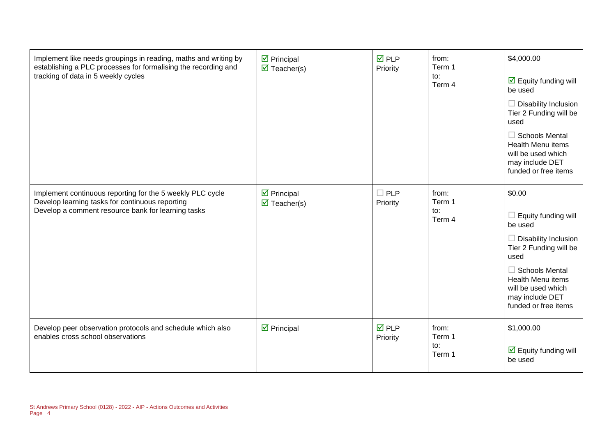| Implement like needs groupings in reading, maths and writing by<br>establishing a PLC processes for formalising the recording and<br>tracking of data in 5 weekly cycles | $\triangleright$ Principal<br>$\triangledown$ Teacher(s) | $\overline{M}$ PLP<br>Priority | from:<br>Term 1<br>to:<br>Term 4 | \$4,000.00<br>$\boxdot$ Equity funding will<br>be used<br>Disability Inclusion<br>Tier 2 Funding will be<br>used<br>$\Box$ Schools Mental<br>Health Menu items<br>will be used which<br>may include DET<br>funded or free items |
|--------------------------------------------------------------------------------------------------------------------------------------------------------------------------|----------------------------------------------------------|--------------------------------|----------------------------------|---------------------------------------------------------------------------------------------------------------------------------------------------------------------------------------------------------------------------------|
| Implement continuous reporting for the 5 weekly PLC cycle<br>Develop learning tasks for continuous reporting<br>Develop a comment resource bank for learning tasks       | $\triangleright$ Principal<br>$\triangledown$ Teacher(s) | $\Box$ PLP<br>Priority         | from:<br>Term 1<br>to:<br>Term 4 | \$0.00<br>Equity funding will<br>be used<br>Disability Inclusion<br>Tier 2 Funding will be<br>used<br>$\Box$ Schools Mental<br>Health Menu items<br>will be used which<br>may include DET<br>funded or free items               |
| Develop peer observation protocols and schedule which also<br>enables cross school observations                                                                          | $\triangleright$ Principal                               | $\overline{M}$ PLP<br>Priority | from:<br>Term 1<br>to:<br>Term 1 | \$1,000.00<br>$\overline{\mathbf{M}}$ Equity funding will<br>be used                                                                                                                                                            |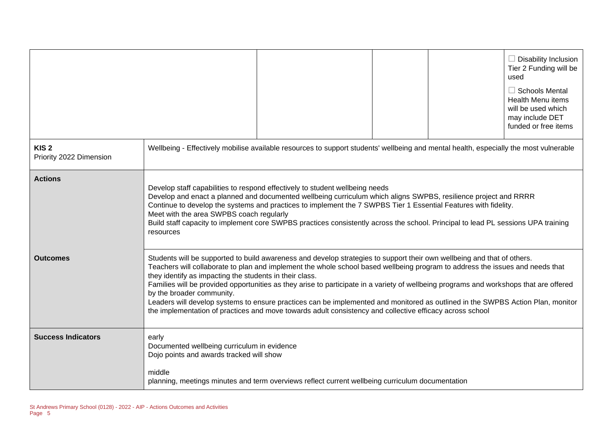|                                             |                                                                                                            |                                                                                                                                                                                                                                                                                                                                                                                                                                                                                                                                                                                                                                                   |  | $\Box$ Disability Inclusion<br>Tier 2 Funding will be<br>used<br>$\Box$ Schools Mental<br><b>Health Menu items</b><br>will be used which<br>may include DET<br>funded or free items |
|---------------------------------------------|------------------------------------------------------------------------------------------------------------|---------------------------------------------------------------------------------------------------------------------------------------------------------------------------------------------------------------------------------------------------------------------------------------------------------------------------------------------------------------------------------------------------------------------------------------------------------------------------------------------------------------------------------------------------------------------------------------------------------------------------------------------------|--|-------------------------------------------------------------------------------------------------------------------------------------------------------------------------------------|
| KIS <sub>2</sub><br>Priority 2022 Dimension |                                                                                                            | Wellbeing - Effectively mobilise available resources to support students' wellbeing and mental health, especially the most vulnerable                                                                                                                                                                                                                                                                                                                                                                                                                                                                                                             |  |                                                                                                                                                                                     |
| <b>Actions</b>                              | Meet with the area SWPBS coach regularly<br>resources                                                      | Develop staff capabilities to respond effectively to student wellbeing needs<br>Develop and enact a planned and documented wellbeing curriculum which aligns SWPBS, resilience project and RRRR<br>Continue to develop the systems and practices to implement the 7 SWPBS Tier 1 Essential Features with fidelity.<br>Build staff capacity to implement core SWPBS practices consistently across the school. Principal to lead PL sessions UPA training                                                                                                                                                                                           |  |                                                                                                                                                                                     |
| <b>Outcomes</b>                             | they identify as impacting the students in their class.<br>by the broader community.                       | Students will be supported to build awareness and develop strategies to support their own wellbeing and that of others.<br>Teachers will collaborate to plan and implement the whole school based wellbeing program to address the issues and needs that<br>Families will be provided opportunities as they arise to participate in a variety of wellbeing programs and workshops that are offered<br>Leaders will develop systems to ensure practices can be implemented and monitored as outlined in the SWPBS Action Plan, monitor<br>the implementation of practices and move towards adult consistency and collective efficacy across school |  |                                                                                                                                                                                     |
| <b>Success Indicators</b>                   | early<br>Documented wellbeing curriculum in evidence<br>Dojo points and awards tracked will show<br>middle | planning, meetings minutes and term overviews reflect current wellbeing curriculum documentation                                                                                                                                                                                                                                                                                                                                                                                                                                                                                                                                                  |  |                                                                                                                                                                                     |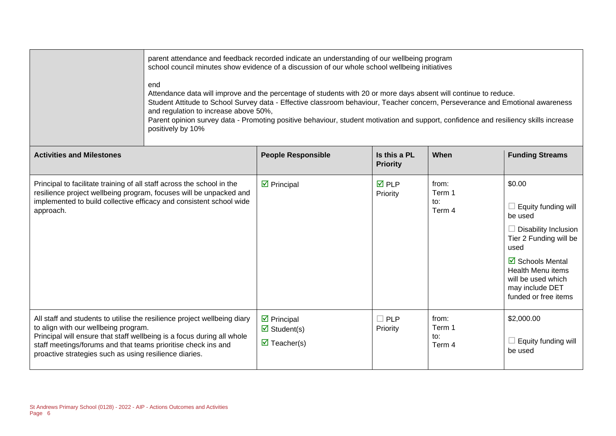|                                                                                                                                                                                                                                                                                                                       | parent attendance and feedback recorded indicate an understanding of our wellbeing program<br>school council minutes show evidence of a discussion of our whole school wellbeing initiatives<br>end<br>Attendance data will improve and the percentage of students with 20 or more days absent will continue to reduce.<br>Student Attitude to School Survey data - Effective classroom behaviour, Teacher concern, Perseverance and Emotional awareness<br>and regulation to increase above 50%,<br>Parent opinion survey data - Promoting positive behaviour, student motivation and support, confidence and resiliency skills increase<br>positively by 10% |                                                                                                |                                 |                                  |                                                                                                                                                                                                                            |  |
|-----------------------------------------------------------------------------------------------------------------------------------------------------------------------------------------------------------------------------------------------------------------------------------------------------------------------|----------------------------------------------------------------------------------------------------------------------------------------------------------------------------------------------------------------------------------------------------------------------------------------------------------------------------------------------------------------------------------------------------------------------------------------------------------------------------------------------------------------------------------------------------------------------------------------------------------------------------------------------------------------|------------------------------------------------------------------------------------------------|---------------------------------|----------------------------------|----------------------------------------------------------------------------------------------------------------------------------------------------------------------------------------------------------------------------|--|
| <b>Activities and Milestones</b>                                                                                                                                                                                                                                                                                      |                                                                                                                                                                                                                                                                                                                                                                                                                                                                                                                                                                                                                                                                | <b>People Responsible</b>                                                                      | Is this a PL<br><b>Priority</b> | When                             | <b>Funding Streams</b>                                                                                                                                                                                                     |  |
| Principal to facilitate training of all staff across the school in the<br>implemented to build collective efficacy and consistent school wide<br>approach.                                                                                                                                                            | resilience project wellbeing program, focuses will be unpacked and                                                                                                                                                                                                                                                                                                                                                                                                                                                                                                                                                                                             | $\triangleright$ Principal                                                                     | <b>☑</b> PLP<br>Priority        | from:<br>Term 1<br>to:<br>Term 4 | \$0.00<br>$\Box$ Equity funding will<br>be used<br>$\Box$ Disability Inclusion<br>Tier 2 Funding will be<br>used<br>☑ Schools Mental<br>Health Menu items<br>will be used which<br>may include DET<br>funded or free items |  |
| All staff and students to utilise the resilience project wellbeing diary<br>to align with our wellbeing program.<br>Principal will ensure that staff wellbeing is a focus during all whole<br>staff meetings/forums and that teams prioritise check ins and<br>proactive strategies such as using resilience diaries. |                                                                                                                                                                                                                                                                                                                                                                                                                                                                                                                                                                                                                                                                | $\triangleright$ Principal<br>$\overline{\mathbf{M}}$ Student(s)<br>$\triangledown$ Teacher(s) | $\Box$ PLP<br>Priority          | from:<br>Term 1<br>to:<br>Term 4 | \$2,000.00<br>$\Box$ Equity funding will<br>be used                                                                                                                                                                        |  |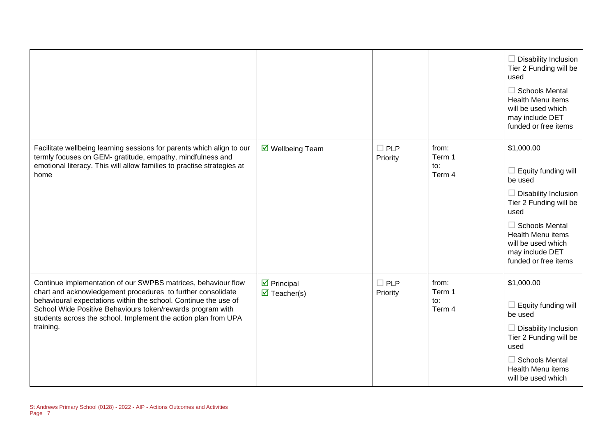|                                                                                                                                                                                                                                                                                                                                              |                                                          |                           |                                  | $\Box$ Disability Inclusion<br>Tier 2 Funding will be<br>used<br>$\Box$ Schools Mental<br><b>Health Menu items</b><br>will be used which<br>may include DET<br>funded or free items                                                        |
|----------------------------------------------------------------------------------------------------------------------------------------------------------------------------------------------------------------------------------------------------------------------------------------------------------------------------------------------|----------------------------------------------------------|---------------------------|----------------------------------|--------------------------------------------------------------------------------------------------------------------------------------------------------------------------------------------------------------------------------------------|
| Facilitate wellbeing learning sessions for parents which align to our<br>termly focuses on GEM- gratitude, empathy, mindfulness and<br>emotional literacy. This will allow families to practise strategies at<br>home                                                                                                                        | ☑ Wellbeing Team                                         | $\square$ PLP<br>Priority | from:<br>Term 1<br>to:<br>Term 4 | \$1,000.00<br>$\Box$ Equity funding will<br>be used<br>$\Box$ Disability Inclusion<br>Tier 2 Funding will be<br>used<br>$\Box$ Schools Mental<br><b>Health Menu items</b><br>will be used which<br>may include DET<br>funded or free items |
| Continue implementation of our SWPBS matrices, behaviour flow<br>chart and acknowledgement procedures to further consolidate<br>behavioural expectations within the school. Continue the use of<br>School Wide Positive Behaviours token/rewards program with<br>students across the school. Implement the action plan from UPA<br>training. | $\triangleright$ Principal<br>$\triangledown$ Teacher(s) | $\square$ PLP<br>Priority | from:<br>Term 1<br>to:<br>Term 4 | \$1,000.00<br>$\Box$ Equity funding will<br>be used<br>$\Box$ Disability Inclusion<br>Tier 2 Funding will be<br>used<br>$\Box$ Schools Mental<br><b>Health Menu items</b><br>will be used which                                            |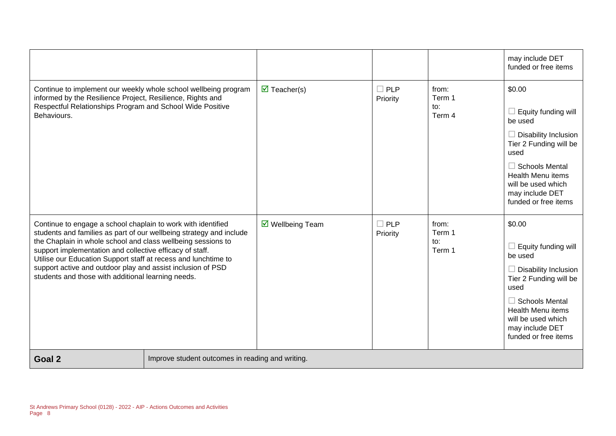|                                                                                                                                                                                                                                                                                                                                                                                                                                                        |                                                  |                                    |                        |                                  | may include DET<br>funded or free items                                                                                                                                                                                  |
|--------------------------------------------------------------------------------------------------------------------------------------------------------------------------------------------------------------------------------------------------------------------------------------------------------------------------------------------------------------------------------------------------------------------------------------------------------|--------------------------------------------------|------------------------------------|------------------------|----------------------------------|--------------------------------------------------------------------------------------------------------------------------------------------------------------------------------------------------------------------------|
| Continue to implement our weekly whole school wellbeing program<br>informed by the Resilience Project, Resilience, Rights and<br>Respectful Relationships Program and School Wide Positive<br>Behaviours.                                                                                                                                                                                                                                              |                                                  | $\overline{\mathbf{M}}$ Teacher(s) | $\Box$ PLP<br>Priority | from:<br>Term 1<br>to:<br>Term 4 | \$0.00<br>Equity funding will<br>be used<br>Disability Inclusion<br>Tier 2 Funding will be<br>used<br>$\Box$ Schools Mental<br><b>Health Menu items</b><br>will be used which<br>may include DET<br>funded or free items |
| Continue to engage a school chaplain to work with identified<br>students and families as part of our wellbeing strategy and include<br>the Chaplain in whole school and class wellbeing sessions to<br>support implementation and collective efficacy of staff.<br>Utilise our Education Support staff at recess and lunchtime to<br>support active and outdoor play and assist inclusion of PSD<br>students and those with additional learning needs. |                                                  | ☑ Wellbeing Team                   | $\Box$ PLP<br>Priority | from:<br>Term 1<br>to:<br>Term 1 | \$0.00<br>Equity funding will<br>be used<br>Disability Inclusion<br>Tier 2 Funding will be<br>used<br><b>Schools Mental</b><br><b>Health Menu items</b><br>will be used which<br>may include DET<br>funded or free items |
| Goal 2                                                                                                                                                                                                                                                                                                                                                                                                                                                 | Improve student outcomes in reading and writing. |                                    |                        |                                  |                                                                                                                                                                                                                          |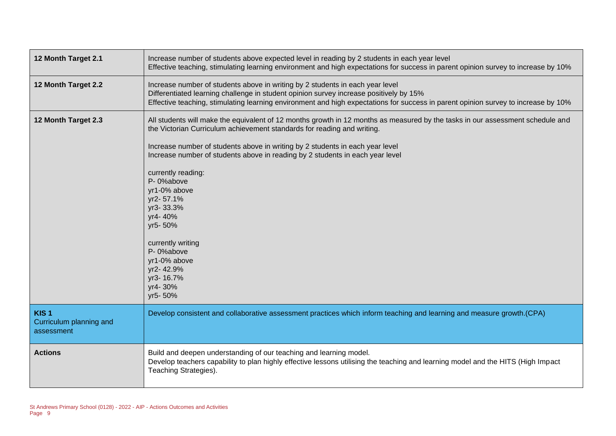| 12 Month Target 2.1                                       | Increase number of students above expected level in reading by 2 students in each year level<br>Effective teaching, stimulating learning environment and high expectations for success in parent opinion survey to increase by 10%                                                                                                                                                                                                                                                                                                                                               |
|-----------------------------------------------------------|----------------------------------------------------------------------------------------------------------------------------------------------------------------------------------------------------------------------------------------------------------------------------------------------------------------------------------------------------------------------------------------------------------------------------------------------------------------------------------------------------------------------------------------------------------------------------------|
| 12 Month Target 2.2                                       | Increase number of students above in writing by 2 students in each year level<br>Differentiated learning challenge in student opinion survey increase positively by 15%<br>Effective teaching, stimulating learning environment and high expectations for success in parent opinion survey to increase by 10%                                                                                                                                                                                                                                                                    |
| 12 Month Target 2.3                                       | All students will make the equivalent of 12 months growth in 12 months as measured by the tasks in our assessment schedule and<br>the Victorian Curriculum achievement standards for reading and writing.<br>Increase number of students above in writing by 2 students in each year level<br>Increase number of students above in reading by 2 students in each year level<br>currently reading:<br>P-0%above<br>yr1-0% above<br>yr2-57.1%<br>yr3-33.3%<br>yr4-40%<br>yr5-50%<br>currently writing<br>P-0%above<br>yr1-0% above<br>yr2-42.9%<br>yr3-16.7%<br>yr4-30%<br>yr5-50% |
| KIS <sub>1</sub><br>Curriculum planning and<br>assessment | Develop consistent and collaborative assessment practices which inform teaching and learning and measure growth.(CPA)                                                                                                                                                                                                                                                                                                                                                                                                                                                            |
| <b>Actions</b>                                            | Build and deepen understanding of our teaching and learning model.<br>Develop teachers capability to plan highly effective lessons utilising the teaching and learning model and the HITS (High Impact<br>Teaching Strategies).                                                                                                                                                                                                                                                                                                                                                  |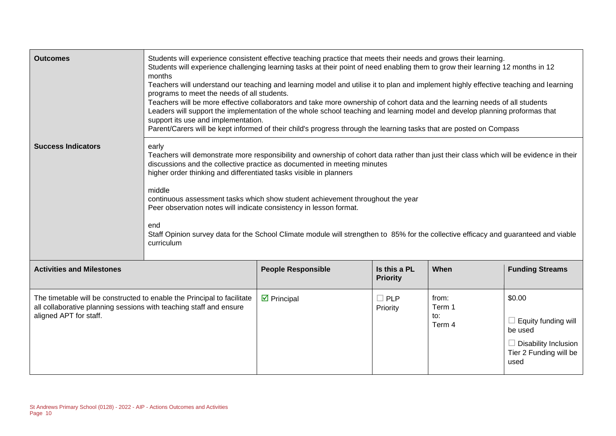| <b>Outcomes</b>                                                                                                                                                         | Students will experience consistent effective teaching practice that meets their needs and grows their learning.<br>Students will experience challenging learning tasks at their point of need enabling them to grow their learning 12 months in 12<br>months<br>Teachers will understand our teaching and learning model and utilise it to plan and implement highly effective teaching and learning<br>programs to meet the needs of all students.<br>Teachers will be more effective collaborators and take more ownership of cohort data and the learning needs of all students<br>Leaders will support the implementation of the whole school teaching and learning model and develop planning proformas that<br>support its use and implementation.<br>Parent/Carers will be kept informed of their child's progress through the learning tasks that are posted on Compass |                            |                        |                                  |                                                                                                                  |
|-------------------------------------------------------------------------------------------------------------------------------------------------------------------------|----------------------------------------------------------------------------------------------------------------------------------------------------------------------------------------------------------------------------------------------------------------------------------------------------------------------------------------------------------------------------------------------------------------------------------------------------------------------------------------------------------------------------------------------------------------------------------------------------------------------------------------------------------------------------------------------------------------------------------------------------------------------------------------------------------------------------------------------------------------------------------|----------------------------|------------------------|----------------------------------|------------------------------------------------------------------------------------------------------------------|
| <b>Success Indicators</b>                                                                                                                                               | early<br>Teachers will demonstrate more responsibility and ownership of cohort data rather than just their class which will be evidence in their<br>discussions and the collective practice as documented in meeting minutes<br>higher order thinking and differentiated tasks visible in planners<br>middle<br>continuous assessment tasks which show student achievement throughout the year<br>Peer observation notes will indicate consistency in lesson format.<br>end<br>Staff Opinion survey data for the School Climate module will strengthen to 85% for the collective efficacy and guaranteed and viable<br>curriculum                                                                                                                                                                                                                                                |                            |                        |                                  |                                                                                                                  |
| <b>Activities and Milestones</b>                                                                                                                                        | Is this a PL<br>When<br><b>People Responsible</b><br><b>Priority</b>                                                                                                                                                                                                                                                                                                                                                                                                                                                                                                                                                                                                                                                                                                                                                                                                             |                            |                        |                                  | <b>Funding Streams</b>                                                                                           |
| The timetable will be constructed to enable the Principal to facilitate<br>all collaborative planning sessions with teaching staff and ensure<br>aligned APT for staff. |                                                                                                                                                                                                                                                                                                                                                                                                                                                                                                                                                                                                                                                                                                                                                                                                                                                                                  | $\triangleright$ Principal | $\Box$ PLP<br>Priority | from:<br>Term 1<br>to:<br>Term 4 | \$0.00<br>$\Box$ Equity funding will<br>be used<br>$\Box$ Disability Inclusion<br>Tier 2 Funding will be<br>used |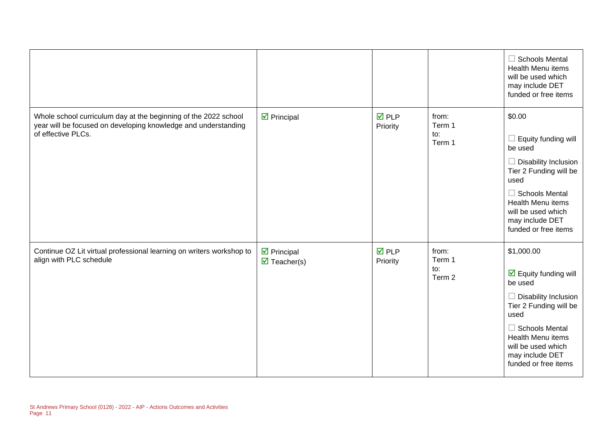|                                                                                                                                                         |                                                                  |                                |                                  | $\Box$ Schools Mental<br><b>Health Menu items</b><br>will be used which<br>may include DET<br>funded or free items                                                                                                                                   |
|---------------------------------------------------------------------------------------------------------------------------------------------------------|------------------------------------------------------------------|--------------------------------|----------------------------------|------------------------------------------------------------------------------------------------------------------------------------------------------------------------------------------------------------------------------------------------------|
| Whole school curriculum day at the beginning of the 2022 school<br>year will be focused on developing knowledge and understanding<br>of effective PLCs. | $\triangleright$ Principal                                       | $\overline{M}$ PLP<br>Priority | from:<br>Term 1<br>to:<br>Term 1 | \$0.00<br>Equity funding will<br>$\Box$<br>be used<br>$\Box$<br><b>Disability Inclusion</b><br>Tier 2 Funding will be<br>used<br>$\Box$ Schools Mental<br><b>Health Menu items</b><br>will be used which<br>may include DET<br>funded or free items  |
| Continue OZ Lit virtual professional learning on writers workshop to<br>align with PLC schedule                                                         | $\triangleright$ Principal<br>$\overline{\mathbf{M}}$ Teacher(s) | <b>☑</b> PLP<br>Priority       | from:<br>Term 1<br>to:<br>Term 2 | \$1,000.00<br>$\overline{\mathbf{y}}$ Equity funding will<br>be used<br>$\Box$ Disability Inclusion<br>Tier 2 Funding will be<br>used<br>$\Box$ Schools Mental<br>Health Menu items<br>will be used which<br>may include DET<br>funded or free items |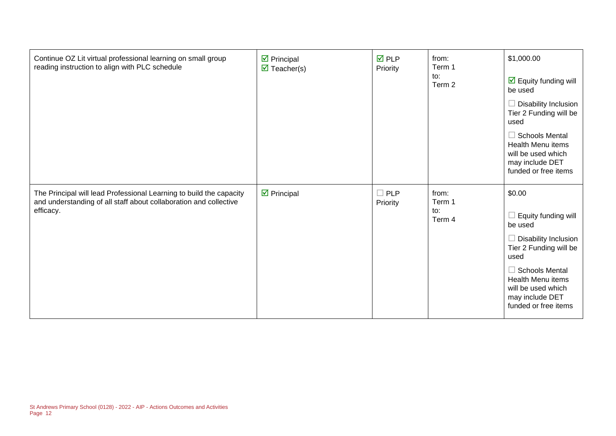| Continue OZ Lit virtual professional learning on small group<br>reading instruction to align with PLC schedule                                        | $\boxtimes$ Principal<br>$\triangledown$ Teacher(s) | $\overline{M}$ PLP<br>Priority | from:<br>Term 1<br>to:<br>Term 2 | \$1,000.00<br>$\boxdot$ Equity funding will<br>be used<br>$\Box$ Disability Inclusion<br>Tier 2 Funding will be<br>used<br>Schools Mental<br><b>Health Menu items</b><br>will be used which<br>may include DET<br>funded or free items |
|-------------------------------------------------------------------------------------------------------------------------------------------------------|-----------------------------------------------------|--------------------------------|----------------------------------|----------------------------------------------------------------------------------------------------------------------------------------------------------------------------------------------------------------------------------------|
| The Principal will lead Professional Learning to build the capacity<br>and understanding of all staff about collaboration and collective<br>efficacy. | $\overline{\mathbf{y}}$ Principal                   | $\Box$ PLP<br>Priority         | from:<br>Term 1<br>to:<br>Term 4 | \$0.00<br>Equity funding will<br>be used<br>Disability Inclusion<br>Tier 2 Funding will be<br>used<br>Schools Mental<br>Health Menu items<br>will be used which<br>may include DET<br>funded or free items                             |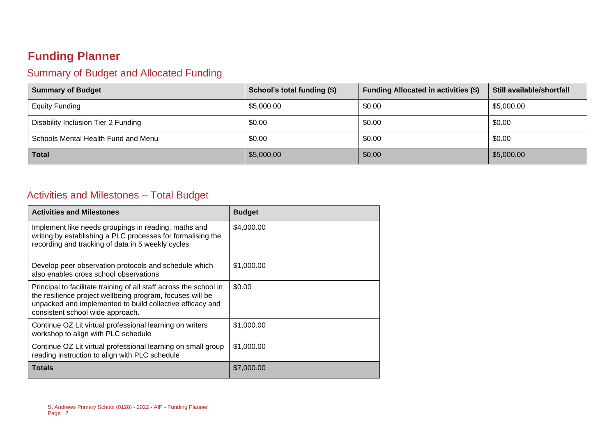## **Funding Planner**

#### Summary of Budget and Allocated Funding

| <b>Summary of Budget</b>            | School's total funding (\$) | <b>Funding Allocated in activities (\$)</b> | Still available/shortfall |
|-------------------------------------|-----------------------------|---------------------------------------------|---------------------------|
| <b>Equity Funding</b>               | \$5,000.00                  | \$0.00                                      | \$5,000.00                |
| Disability Inclusion Tier 2 Funding | \$0.00                      | \$0.00                                      | \$0.00                    |
| Schools Mental Health Fund and Menu | \$0.00                      | \$0.00                                      | \$0.00                    |
| <b>Total</b>                        | \$5,000.00                  | \$0.00                                      | \$5,000.00                |

#### Activities and Milestones – Total Budget

| <b>Activities and Milestones</b>                                                                                                                                                                                                 | <b>Budget</b> |
|----------------------------------------------------------------------------------------------------------------------------------------------------------------------------------------------------------------------------------|---------------|
| Implement like needs groupings in reading, maths and<br>writing by establishing a PLC processes for formalising the<br>recording and tracking of data in 5 weekly cycles                                                         | \$4,000.00    |
| Develop peer observation protocols and schedule which<br>also enables cross school observations                                                                                                                                  | \$1,000.00    |
| Principal to facilitate training of all staff across the school in<br>the resilience project wellbeing program, focuses will be<br>unpacked and implemented to build collective efficacy and<br>consistent school wide approach. | \$0.00        |
| Continue OZ Lit virtual professional learning on writers<br>workshop to align with PLC schedule                                                                                                                                  | \$1,000.00    |
| Continue OZ Lit virtual professional learning on small group<br>reading instruction to align with PLC schedule                                                                                                                   | \$1,000.00    |
| <b>Totals</b>                                                                                                                                                                                                                    | \$7,000.00    |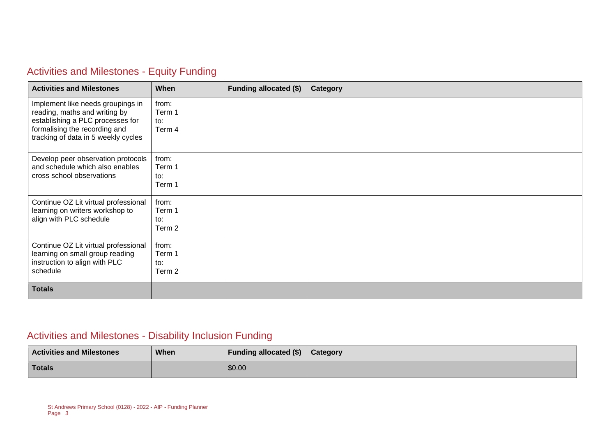### Activities and Milestones - Equity Funding

| <b>Activities and Milestones</b>                                                                                                                                               | When                             | <b>Funding allocated (\$)</b> | Category |
|--------------------------------------------------------------------------------------------------------------------------------------------------------------------------------|----------------------------------|-------------------------------|----------|
| Implement like needs groupings in<br>reading, maths and writing by<br>establishing a PLC processes for<br>formalising the recording and<br>tracking of data in 5 weekly cycles | from:<br>Term 1<br>to:<br>Term 4 |                               |          |
| Develop peer observation protocols<br>and schedule which also enables<br>cross school observations                                                                             | from:<br>Term 1<br>to:<br>Term 1 |                               |          |
| Continue OZ Lit virtual professional<br>learning on writers workshop to<br>align with PLC schedule                                                                             | from:<br>Term 1<br>to:<br>Term 2 |                               |          |
| Continue OZ Lit virtual professional<br>learning on small group reading<br>instruction to align with PLC<br>schedule                                                           | from:<br>Term 1<br>to:<br>Term 2 |                               |          |
| <b>Totals</b>                                                                                                                                                                  |                                  |                               |          |

## Activities and Milestones - Disability Inclusion Funding

| <b>Activities and Milestones</b> | <b>When</b> | Funding allocated (\$) | <b>Category</b> |
|----------------------------------|-------------|------------------------|-----------------|
| Totals                           |             | \$0.00                 |                 |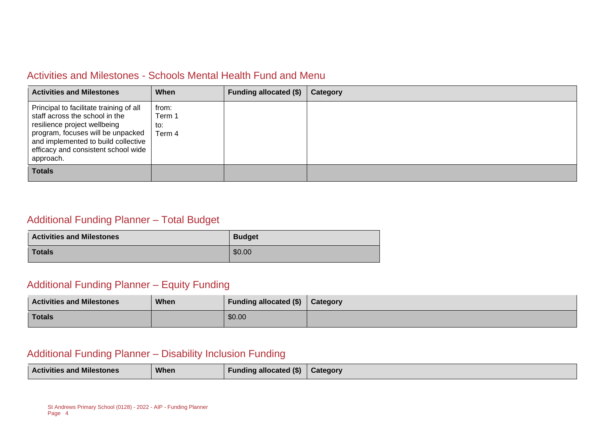#### Activities and Milestones - Schools Mental Health Fund and Menu

| <b>Activities and Milestones</b>                                                                                                                                                                                                          | When                             | Funding allocated (\$) | Category |
|-------------------------------------------------------------------------------------------------------------------------------------------------------------------------------------------------------------------------------------------|----------------------------------|------------------------|----------|
| Principal to facilitate training of all<br>staff across the school in the<br>resilience project wellbeing<br>program, focuses will be unpacked<br>and implemented to build collective<br>efficacy and consistent school wide<br>approach. | from:<br>Term 1<br>to:<br>Term 4 |                        |          |
| <b>Totals</b>                                                                                                                                                                                                                             |                                  |                        |          |

#### Additional Funding Planner – Total Budget

| <b>Activities and Milestones</b> | <b>Budget</b> |
|----------------------------------|---------------|
| <b>Totals</b>                    | \$0.00        |

#### Additional Funding Planner – Equity Funding

| <b>Activities and Milestones</b> | When | Funding allocated (\$) | Category |
|----------------------------------|------|------------------------|----------|
| <b>Totals</b>                    |      | \$0.00                 |          |

#### Additional Funding Planner – Disability Inclusion Funding

|  | <b>Activities and Milestones</b> | When | <b>Funding allocated (\$)</b> | <b>Category</b> |
|--|----------------------------------|------|-------------------------------|-----------------|
|--|----------------------------------|------|-------------------------------|-----------------|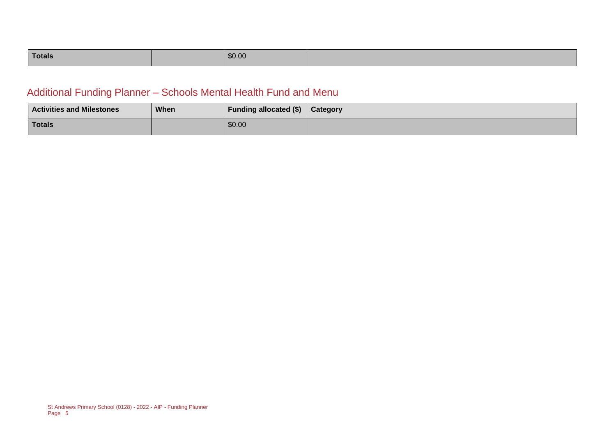| Totals |  | \$0.00 |  |
|--------|--|--------|--|
|--------|--|--------|--|

### Additional Funding Planner – Schools Mental Health Fund and Menu

| <b>Activities and Milestones</b> | <b>When</b> | <b>Funding allocated (\$)</b> | <b>Category</b> |
|----------------------------------|-------------|-------------------------------|-----------------|
| <b>Totals</b>                    |             | \$0.00                        |                 |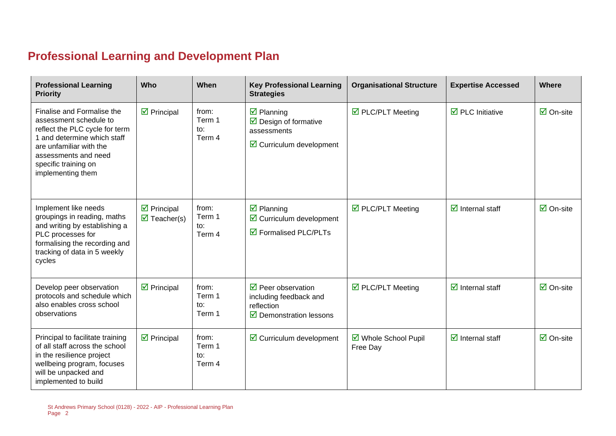## **Professional Learning and Development Plan**

| <b>Professional Learning</b><br><b>Priority</b>                                                                                                                                                                       | Who                                                              | When                                        | <b>Key Professional Learning</b><br><b>Strategies</b>                                                                  | <b>Organisational Structure</b>  | <b>Expertise Accessed</b>               | <b>Where</b>                    |
|-----------------------------------------------------------------------------------------------------------------------------------------------------------------------------------------------------------------------|------------------------------------------------------------------|---------------------------------------------|------------------------------------------------------------------------------------------------------------------------|----------------------------------|-----------------------------------------|---------------------------------|
| Finalise and Formalise the<br>assessment schedule to<br>reflect the PLC cycle for term<br>1 and determine which staff<br>are unfamiliar with the<br>assessments and need<br>specific training on<br>implementing them | $\triangleright$ Principal                                       | from:<br>Term 1<br>to:<br>Term 4            | $\boxtimes$ Planning<br>$\triangleright$ Design of formative<br>assessments<br>$\triangleright$ Curriculum development | ☑ PLC/PLT Meeting                | $\overline{\boxtimes}$ PLC Initiative   | $\overline{\mathbf{2}}$ On-site |
| Implement like needs<br>groupings in reading, maths<br>and writing by establishing a<br>PLC processes for<br>formalising the recording and<br>tracking of data in 5 weekly<br>cycles                                  | $\triangleright$ Principal<br>$\overline{\mathbf{M}}$ Teacher(s) | from:<br>Term 1<br>$\mathsf{to}:$<br>Term 4 | $\overline{\mathbf{z}}$ Planning<br>$\triangleright$ Curriculum development<br>☑ Formalised PLC/PLTs                   | ☑ PLC/PLT Meeting                | $\overline{\mathbf{d}}$ Internal staff  | $\boxtimes$ On-site             |
| Develop peer observation<br>protocols and schedule which<br>also enables cross school<br>observations                                                                                                                 | $\overline{\mathbf{z}}$ Principal                                | from:<br>Term 1<br>to:<br>Term 1            | $\triangledown$ Peer observation<br>including feedback and<br>reflection<br>$\triangleright$ Demonstration lessons     | $\triangledown$ PLC/PLT Meeting  | $\overline{\mathbf{z}}$ Internal staff  | $\overline{\mathbf{2}}$ On-site |
| Principal to facilitate training<br>of all staff across the school<br>in the resilience project<br>wellbeing program, focuses<br>will be unpacked and<br>implemented to build                                         | $\triangleright$ Principal                                       | from:<br>Term 1<br>to:<br>Term 4            | $\triangleright$ Curriculum development                                                                                | ☑ Whole School Pupil<br>Free Day | $\overline{\mathcal{A}}$ Internal staff | $\overline{\Box}$ On-site       |